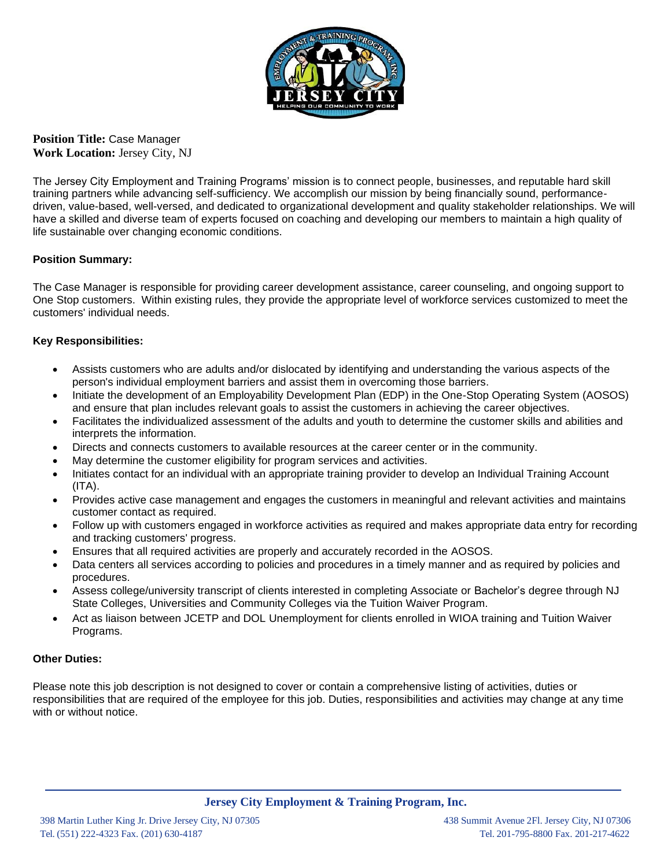

**Position Title:** Case Manager **Work Location:** Jersey City, NJ

The Jersey City Employment and Training Programs' mission is to connect people, businesses, and reputable hard skill training partners while advancing self-sufficiency. We accomplish our mission by being financially sound, performancedriven, value-based, well-versed, and dedicated to organizational development and quality stakeholder relationships. We will have a skilled and diverse team of experts focused on coaching and developing our members to maintain a high quality of life sustainable over changing economic conditions.

# **Position Summary:**

The Case Manager is responsible for providing career development assistance, career counseling, and ongoing support to One Stop customers. Within existing rules, they provide the appropriate level of workforce services customized to meet the customers' individual needs.

# **Key Responsibilities:**

- Assists customers who are adults and/or dislocated by identifying and understanding the various aspects of the person's individual employment barriers and assist them in overcoming those barriers.
- Initiate the development of an Employability Development Plan (EDP) in the One-Stop Operating System (AOSOS) and ensure that plan includes relevant goals to assist the customers in achieving the career objectives.
- Facilitates the individualized assessment of the adults and youth to determine the customer skills and abilities and interprets the information.
- Directs and connects customers to available resources at the career center or in the community.
- May determine the customer eligibility for program services and activities.
- Initiates contact for an individual with an appropriate training provider to develop an Individual Training Account  $(ITA)$ .
- Provides active case management and engages the customers in meaningful and relevant activities and maintains customer contact as required.
- Follow up with customers engaged in workforce activities as required and makes appropriate data entry for recording and tracking customers' progress.
- Ensures that all required activities are properly and accurately recorded in the AOSOS.
- Data centers all services according to policies and procedures in a timely manner and as required by policies and procedures.
- Assess college/university transcript of clients interested in completing Associate or Bachelor's degree through NJ State Colleges, Universities and Community Colleges via the Tuition Waiver Program.
- Act as liaison between JCETP and DOL Unemployment for clients enrolled in WIOA training and Tuition Waiver Programs.

# **Other Duties:**

Please note this job description is not designed to cover or contain a comprehensive listing of activities, duties or responsibilities that are required of the employee for this job. Duties, responsibilities and activities may change at any time with or without notice.